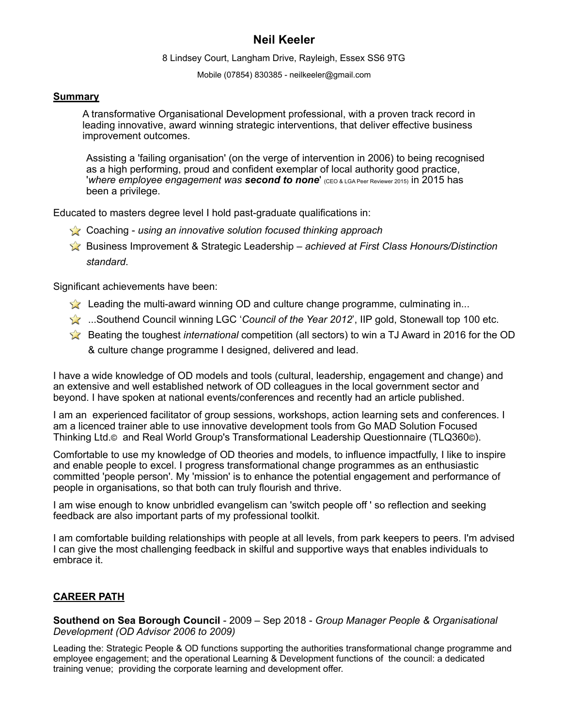## **Neil Keeler**

8 Lindsey Court, Langham Drive, Rayleigh, Essex SS6 9TG

Mobile (07854) 830385 - [neilkeeler@gmail.com](mailto:neilkeeler@sky.com?subject=Re.%2520Your%2520CV)

#### **Summary**

A transformative Organisational Development professional, with a proven track record in leading innovative, award winning strategic interventions, that deliver effective business improvement outcomes.

Assisting a 'failing organisation' (on the verge of intervention in 2006) to being recognised as a high performing, proud and confident exemplar of local authority good practice, '*where employee engagement was second to none*' (CEO & LGA Peer Reviewer 2015) in 2015 has been a privilege.

Educated to masters degree level I hold past-graduate qualifications in:

- Coaching *using an innovative solution focused thinking approach*
- Business Improvement & Strategic Leadership *achieved at First Class Honours/Distinction standard*.

Significant achievements have been:

- Leading the multi-award winning OD and culture change programme, culminating in...
- ...Southend Council winning LGC '*Council of the Year 2012*', IIP gold, Stonewall top 100 etc.
- Beating the toughest *international* competition (all sectors) to win a TJ Award in 2016 for the OD & culture change programme I designed, delivered and lead.

I have a wide knowledge of OD models and tools (cultural, leadership, engagement and change) and an extensive and well established network of OD colleagues in the local government sector and beyond. I have spoken at national events/conferences and recently had an article published.

I am an experienced facilitator of group sessions, workshops, action learning sets and conferences. I am a licenced trainer able to use innovative development tools from Go MAD Solution Focused Thinking Ltd.© and Real World Group's Transformational Leadership Questionnaire (TLQ360©).

Comfortable to use my knowledge of OD theories and models, to influence impactfully, I like to inspire and enable people to excel. I progress transformational change programmes as an enthusiastic committed 'people person'. My 'mission' is to enhance the potential engagement and performance of people in organisations, so that both can truly flourish and thrive.

I am wise enough to know unbridled evangelism can 'switch people off ' so reflection and seeking feedback are also important parts of my professional toolkit.

I am comfortable building relationships with people at all levels, from park keepers to peers. I'm advised I can give the most challenging feedback in skilful and supportive ways that enables individuals to embrace it.

### **CAREER PATH**

**Southend on Sea Borough Council** - 2009 – Sep 2018 - *Group Manager People & Organisational Development (OD Advisor 2006 to 2009)*

Leading the: Strategic People & OD functions supporting the authorities transformational change programme and employee engagement; and the operational Learning & Development functions of the council: a dedicated training venue; providing the corporate learning and development offer.